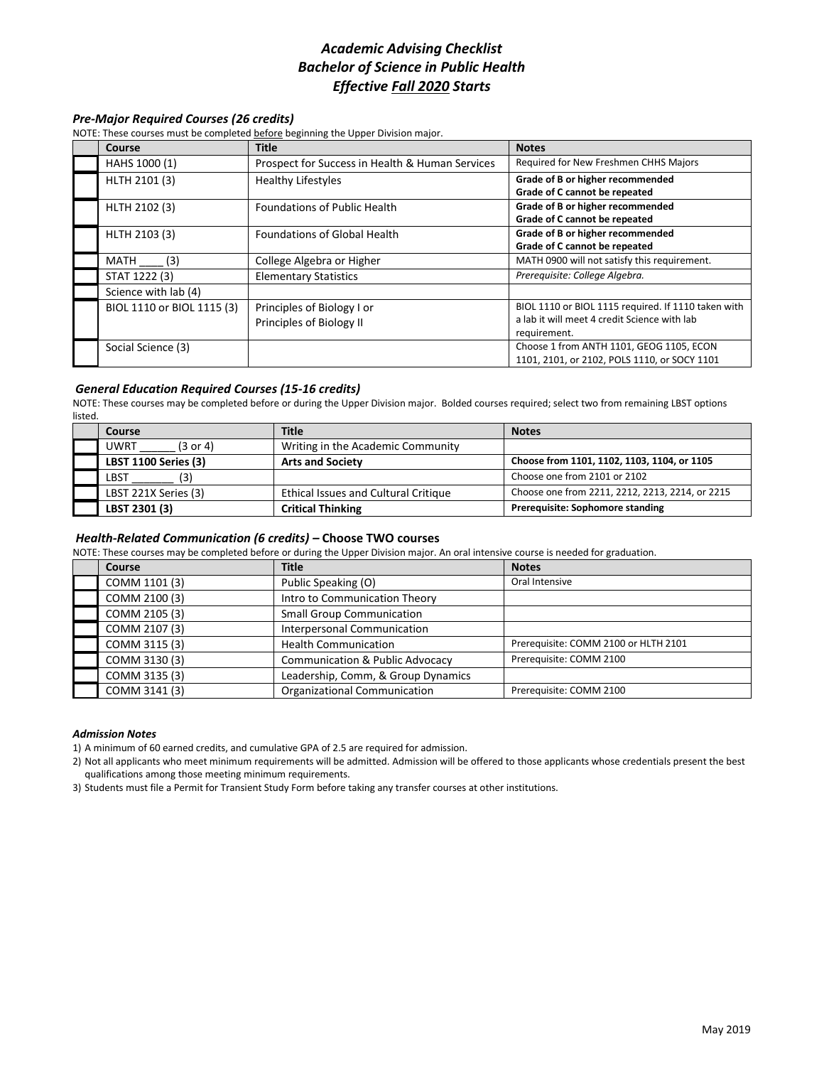# *Academic Advising Checklist Bachelor of Science in Public Health Effective Fall 2020 Starts*

## *Pre-Major Required Courses (26 credits)*

NOTE: These courses must be completed before beginning the Upper Division major.

| Course                     | <b>Title</b>                                           | <b>Notes</b>                                                                                                        |
|----------------------------|--------------------------------------------------------|---------------------------------------------------------------------------------------------------------------------|
| HAHS 1000 (1)              | Prospect for Success in Health & Human Services        | Required for New Freshmen CHHS Majors                                                                               |
| HLTH 2101 (3)              | <b>Healthy Lifestyles</b>                              | Grade of B or higher recommended<br>Grade of C cannot be repeated                                                   |
| HLTH 2102 (3)              | <b>Foundations of Public Health</b>                    | Grade of B or higher recommended<br>Grade of C cannot be repeated                                                   |
| HLTH 2103 (3)              | <b>Foundations of Global Health</b>                    | Grade of B or higher recommended<br>Grade of C cannot be repeated                                                   |
| (3)<br>MATH                | College Algebra or Higher                              | MATH 0900 will not satisfy this requirement.                                                                        |
| STAT 1222 (3)              | <b>Elementary Statistics</b>                           | Prerequisite: College Algebra.                                                                                      |
| Science with lab (4)       |                                                        |                                                                                                                     |
| BIOL 1110 or BIOL 1115 (3) | Principles of Biology I or<br>Principles of Biology II | BIOL 1110 or BIOL 1115 required. If 1110 taken with<br>a lab it will meet 4 credit Science with lab<br>requirement. |
| Social Science (3)         |                                                        | Choose 1 from ANTH 1101, GEOG 1105, ECON<br>1101, 2101, or 2102, POLS 1110, or SOCY 1101                            |

### *General Education Required Courses (15-16 credits)*

NOTE: These courses may be completed before or during the Upper Division major. Bolded courses required; select two from remaining LBST options listed.

| Course                      | <b>Title</b>                         | <b>Notes</b>                                    |
|-----------------------------|--------------------------------------|-------------------------------------------------|
| (3 or 4)<br>UWRT            | Writing in the Academic Community    |                                                 |
| <b>LBST 1100 Series (3)</b> | <b>Arts and Society</b>              | Choose from 1101, 1102, 1103, 1104, or 1105     |
| (3)<br>LBST                 |                                      | Choose one from 2101 or 2102                    |
| LBST 221X Series (3)        | Ethical Issues and Cultural Critique | Choose one from 2211, 2212, 2213, 2214, or 2215 |
| LBST 2301 (3)               | <b>Critical Thinking</b>             | Prerequisite: Sophomore standing                |

#### *Health-Related Communication (6 credits) –* **Choose TWO courses**

NOTE: These courses may be completed before or during the Upper Division major. An oral intensive course is needed for graduation.

| Course        | <b>Title</b>                               | <b>Notes</b>                         |
|---------------|--------------------------------------------|--------------------------------------|
| COMM 1101 (3) | Public Speaking (O)                        | Oral Intensive                       |
| COMM 2100 (3) | Intro to Communication Theory              |                                      |
| COMM 2105 (3) | <b>Small Group Communication</b>           |                                      |
| COMM 2107 (3) | <b>Interpersonal Communication</b>         |                                      |
| COMM 3115 (3) | <b>Health Communication</b>                | Prerequisite: COMM 2100 or HLTH 2101 |
| COMM 3130 (3) | <b>Communication &amp; Public Advocacy</b> | Prerequisite: COMM 2100              |
| COMM 3135 (3) | Leadership, Comm, & Group Dynamics         |                                      |
| COMM 3141 (3) | <b>Organizational Communication</b>        | Prerequisite: COMM 2100              |

#### *Admission Notes*

1) A minimum of 60 earned credits, and cumulative GPA of 2.5 are required for admission.

2) Not all applicants who meet minimum requirements will be admitted. Admission will be offered to those applicants whose credentials present the best qualifications among those meeting minimum requirements.

3) Students must file a Permit for Transient Study Form before taking any transfer courses at other institutions.